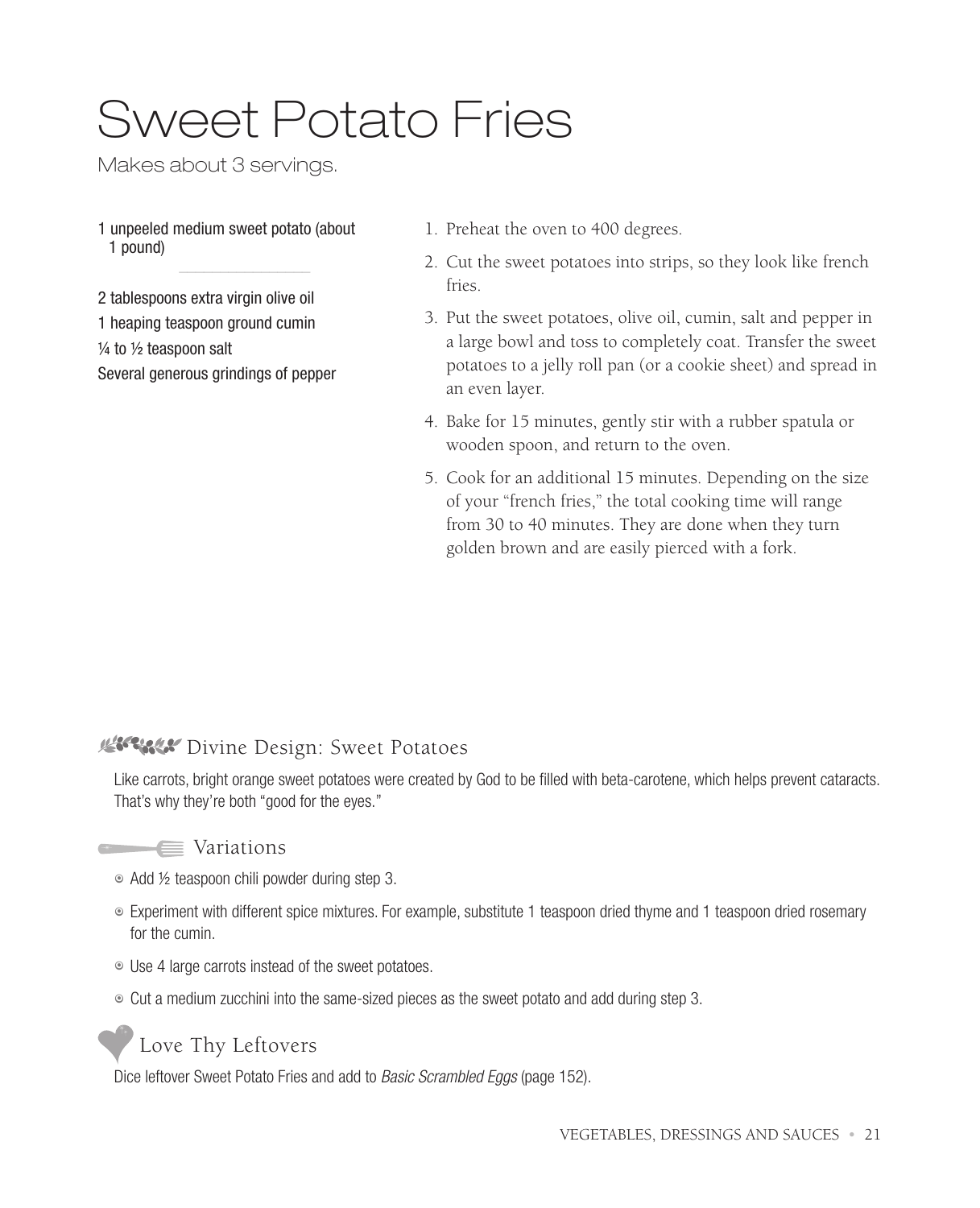# Sweet Potato Fries

Makes about 3 servings.

1 unpeeled medium sweet potato (about 1 pound)

2 tablespoons extra virgin olive oil

1 heaping teaspoon ground cumin

 $\frac{1}{4}$  to  $\frac{1}{2}$  teaspoon salt

Several generous grindings of pepper

- 1. Preheat the oven to 400 degrees.
- 2. Cut the sweet potatoes into strips, so they look like french fries.
- 3. Put the sweet potatoes, olive oil, cumin, salt and pepper in a large bowl and toss to completely coat. Transfer the sweet potatoes to a jelly roll pan (or a cookie sheet) and spread in an even layer.
- 4. Bake for 15 minutes, gently stir with a rubber spatula or wooden spoon, and return to the oven.
- 5. Cook for an additional 15 minutes. Depending on the size of your "french fries," the total cooking time will range from 30 to 40 minutes. They are done when they turn golden brown and are easily pierced with a fork.

## **WISSON Divine Design: Sweet Potatoes**

Like carrots, bright orange sweet potatoes were created by God to be filled with beta-carotene, which helps prevent cataracts. That's why they're both "good for the eyes."

### **Variations**

- Add ½ teaspoon chili powder during step 3.
- 7 Experiment with different spice mixtures. For example, substitute 1 teaspoon dried thyme and 1 teaspoon dried rosemary for the cumin.
- $\degree$  Use 4 large carrots instead of the sweet potatoes.
- $\circ$  Cut a medium zucchini into the same-sized pieces as the sweet potato and add during step 3.



Dice leftover Sweet Potato Fries and add to *Basic Scrambled Eggs* (page 152).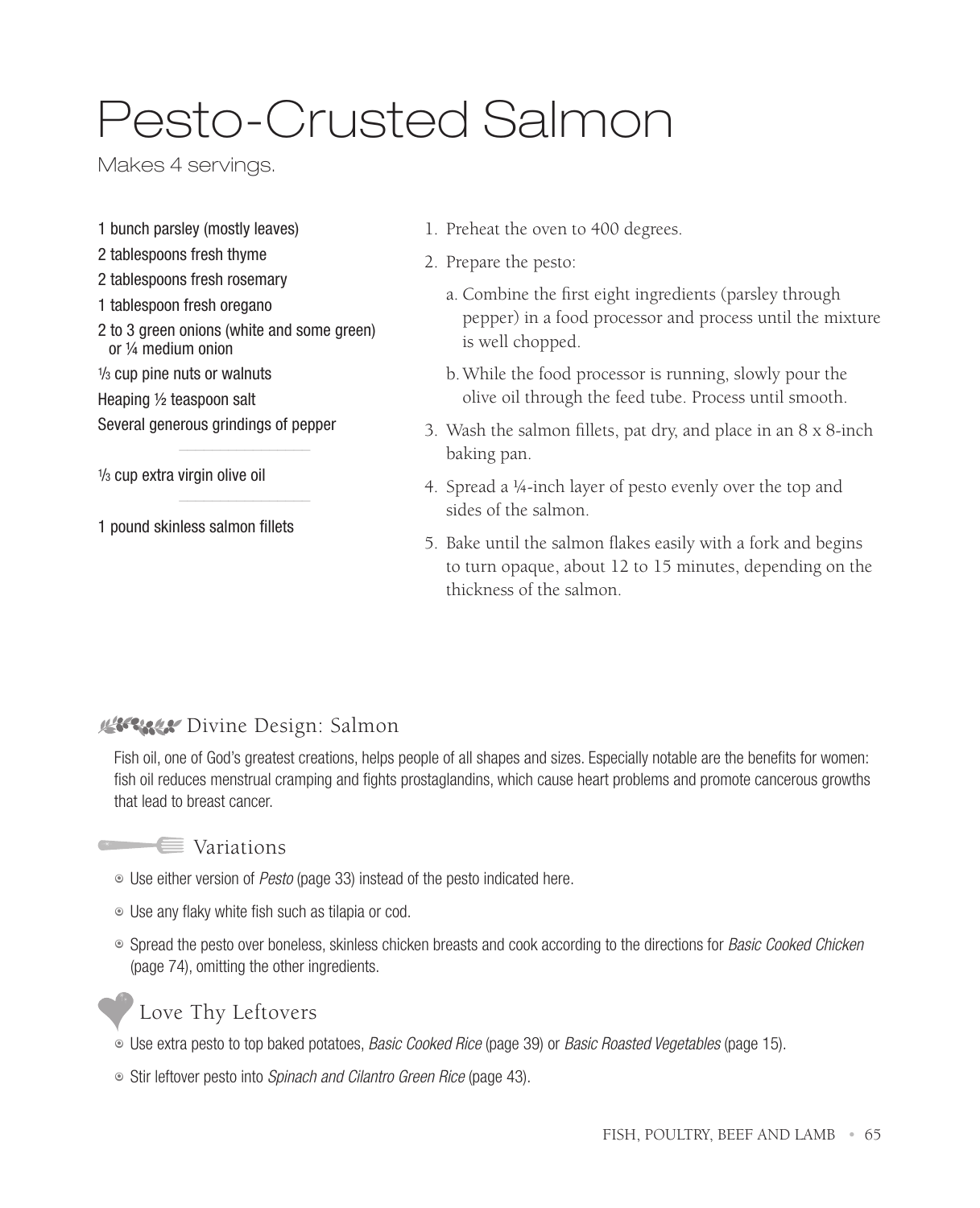# Pesto-Crusted Salmon

Makes 4 servings.

- 1 bunch parsley (mostly leaves)
- 2 tablespoons fresh thyme
- 2 tablespoons fresh rosemary
- 1 tablespoon fresh oregano
- 2 to 3 green onions (white and some green) or ¼ medium onion
- 1 /3 cup pine nuts or walnuts
- Heaping ½ teaspoon salt

Several generous grindings of pepper

1 /3 cup extra virgin olive oil

1 pound skinless salmon fillets

- 1. Preheat the oven to 400 degrees.
- 2. Prepare the pesto:
	- a. Combine the first eight ingredients (parsley through pepper) in a food processor and process until the mixture is well chopped.
	- b. While the food processor is running, slowly pour the olive oil through the feed tube. Process until smooth.
- 3. Wash the salmon fillets, pat dry, and place in an 8 x 8-inch baking pan.
- 4. Spread a ¼-inch layer of pesto evenly over the top and sides of the salmon.
- 5. Bake until the salmon flakes easily with a fork and begins to turn opaque, about 12 to 15 minutes, depending on the thickness of the salmon.

### **Bisease** Divine Design: Salmon

Fish oil, one of God's greatest creations, helps people of all shapes and sizes. Especially notable are the benefits for women: fish oil reduces menstrual cramping and fights prostaglandins, which cause heart problems and promote cancerous growths that lead to breast cancer.



- Use either version of Pesto (page 33) instead of the pesto indicated here.
- Use any flaky white fish such as tilapia or cod.
- <sup>®</sup> Spread the pesto over boneless, skinless chicken breasts and cook according to the directions for Basic Cooked Chicken (page 74), omitting the other ingredients.



- Use extra pesto to top baked potatoes, *Basic Cooked Rice* (page 39) or *Basic Roasted Vegetables* (page 15).
- Stir leftover pesto into Spinach and Cilantro Green Rice (page 43).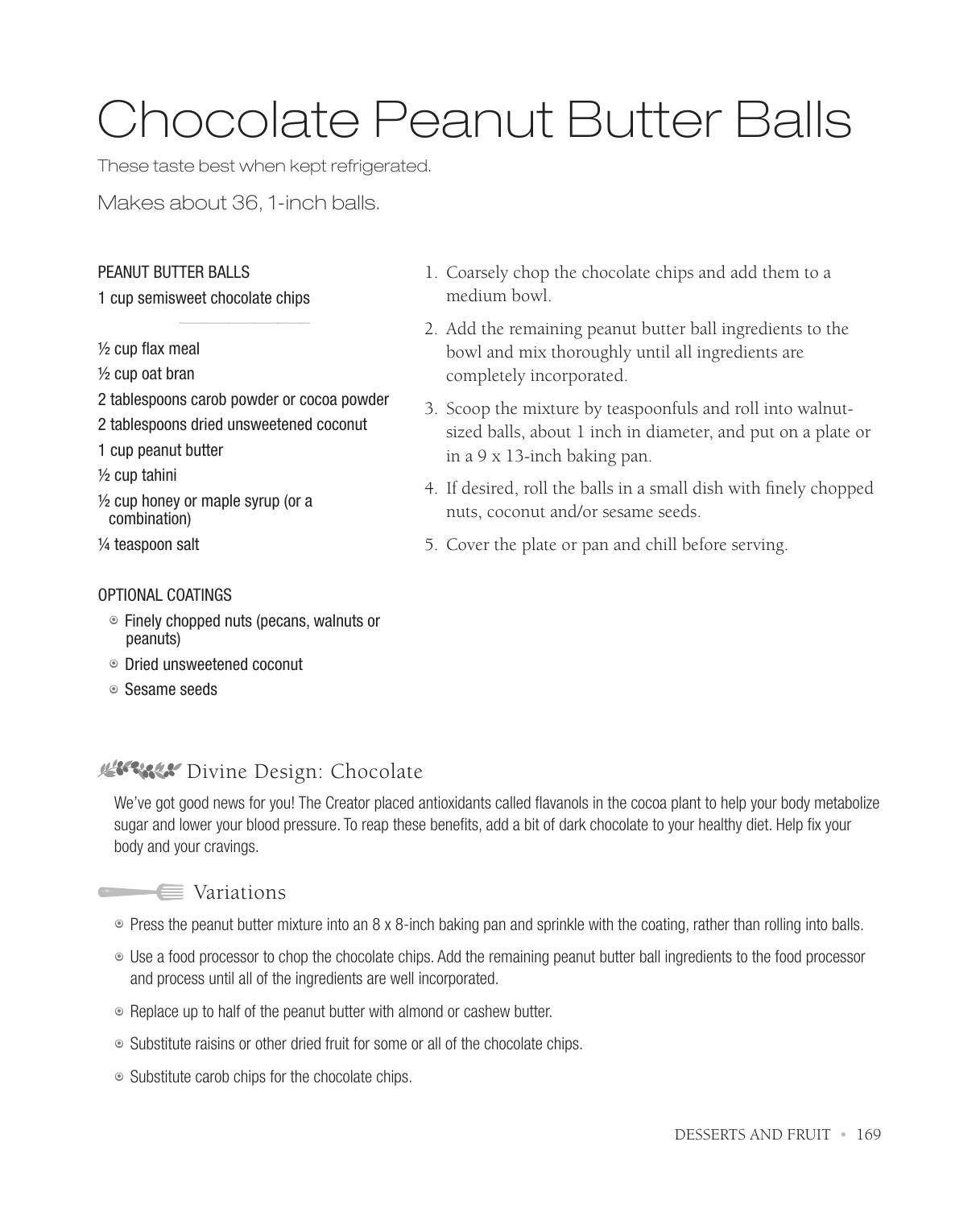# Chocolate Peanut Butter Balls

These taste best when kept refrigerated.

Makes about 36, 1-inch balls.

### PEANUT BUTTER BALLS

#### 1 cup semisweet chocolate chips

½ cup flax meal

- ½ cup oat bran
- 2 tablespoons carob powder or cocoa powder
- 2 tablespoons dried unsweetened coconut
- 1 cup peanut butter

½ cup tahini

½ cup honey or maple syrup (or a combination)

¼ teaspoon salt

#### OPTIONAL COATINGS

- $\circ$  Finely chopped nuts (pecans, walnuts or peanuts)
- 7 Dried unsweetened coconut
- 7 Sesame seeds
- 1. Coarsely chop the chocolate chips and add them to a medium bowl.
- 2. Add the remaining peanut butter ball ingredients to the bowl and mix thoroughly until all ingredients are completely incorporated.
- 3. Scoop the mixture by teaspoonfuls and roll into walnutsized balls, about 1 inch in diameter, and put on a plate or in a 9 x 13-inch baking pan.
- 4. If desired, roll the balls in a small dish with finely chopped nuts, coconut and/or sesame seeds.
- 5. Cover the plate or pan and chill before serving.

### **Riverse Divine Design: Chocolate**

We've got good news for you! The Creator placed antioxidants called flavanols in the cocoa plant to help your body metabolize sugar and lower your blood pressure. To reap these benefits, add a bit of dark chocolate to your healthy diet. Help fix your body and your cravings.



- Press the peanut butter mixture into an 8 x 8-inch baking pan and sprinkle with the coating, rather than rolling into balls.
- 7 Use a food processor to chop the chocolate chips. Add the remaining peanut butter ball ingredients to the food processor and process until all of the ingredients are well incorporated.
- Replace up to half of the peanut butter with almond or cashew butter.
- Substitute raisins or other dried fruit for some or all of the chocolate chips.
- Substitute carob chips for the chocolate chips.